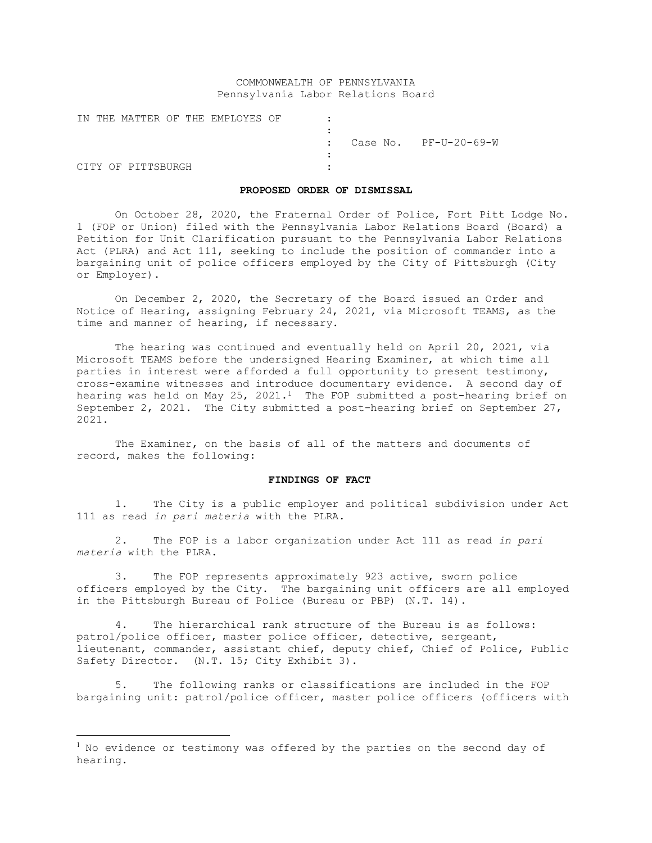# COMMONWEALTH OF PENNSYLVANIA Pennsylvania Labor Relations Board

|  |                    |  | IN THE MATTER OF THE EMPLOYES OF |  |                                    |
|--|--------------------|--|----------------------------------|--|------------------------------------|
|  |                    |  |                                  |  |                                    |
|  |                    |  |                                  |  | $\therefore$ Case No. PF-U-20-69-W |
|  |                    |  |                                  |  |                                    |
|  | CITY OF PITTSBURGH |  |                                  |  |                                    |

#### **PROPOSED ORDER OF DISMISSAL**

On October 28, 2020, the Fraternal Order of Police, Fort Pitt Lodge No. 1 (FOP or Union) filed with the Pennsylvania Labor Relations Board (Board) a Petition for Unit Clarification pursuant to the Pennsylvania Labor Relations Act (PLRA) and Act 111, seeking to include the position of commander into a bargaining unit of police officers employed by the City of Pittsburgh (City or Employer).

On December 2, 2020, the Secretary of the Board issued an Order and Notice of Hearing, assigning February 24, 2021, via Microsoft TEAMS, as the time and manner of hearing, if necessary.

The hearing was continued and eventually held on April 20, 2021, via Microsoft TEAMS before the undersigned Hearing Examiner, at which time all parties in interest were afforded a full opportunity to present testimony, cross-examine witnesses and introduce documentary evidence. A second day of hearing was held on May  $25$ ,  $2021.1$  $2021.1$  The FOP submitted a post-hearing brief on September 2, 2021. The City submitted a post-hearing brief on September 27, 2021.

The Examiner, on the basis of all of the matters and documents of record, makes the following:

# **FINDINGS OF FACT**

1. The City is a public employer and political subdivision under Act 111 as read *in pari materia* with the PLRA.

2. The FOP is a labor organization under Act 111 as read *in pari materia* with the PLRA.

The FOP represents approximately 923 active, sworn police officers employed by the City. The bargaining unit officers are all employed in the Pittsburgh Bureau of Police (Bureau or PBP) (N.T. 14).

4. The hierarchical rank structure of the Bureau is as follows: patrol/police officer, master police officer, detective, sergeant, lieutenant, commander, assistant chief, deputy chief, Chief of Police, Public Safety Director. (N.T. 15; City Exhibit 3).

5. The following ranks or classifications are included in the FOP bargaining unit: patrol/police officer, master police officers (officers with

<span id="page-0-0"></span><sup>&</sup>lt;sup>1</sup> No evidence or testimony was offered by the parties on the second day of hearing.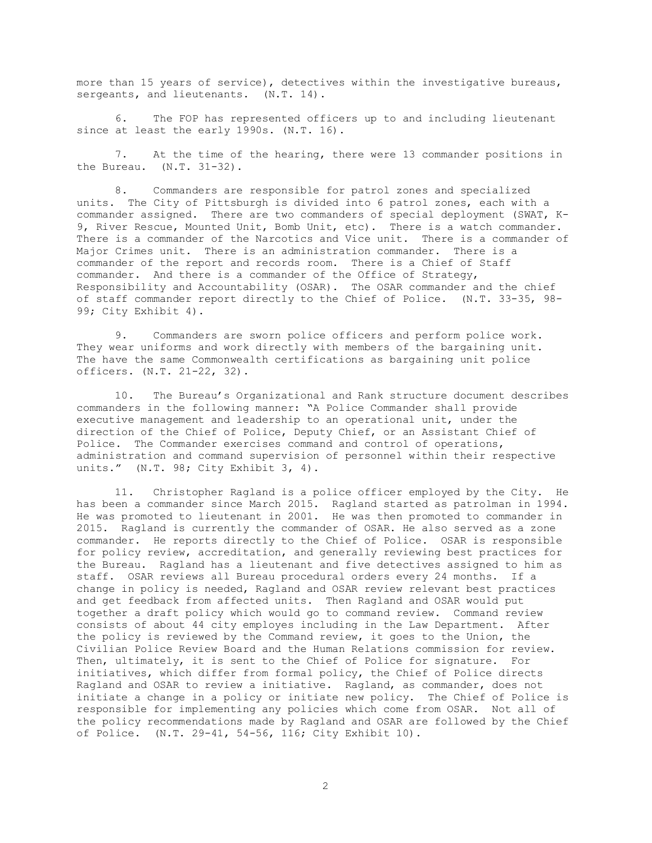more than 15 years of service), detectives within the investigative bureaus, sergeants, and lieutenants. (N.T. 14).

6. The FOP has represented officers up to and including lieutenant since at least the early 1990s. (N.T. 16).

7. At the time of the hearing, there were 13 commander positions in the Bureau. (N.T. 31-32).

8. Commanders are responsible for patrol zones and specialized units. The City of Pittsburgh is divided into 6 patrol zones, each with a commander assigned. There are two commanders of special deployment (SWAT, K-9, River Rescue, Mounted Unit, Bomb Unit, etc). There is a watch commander. There is a commander of the Narcotics and Vice unit. There is a commander of Major Crimes unit. There is an administration commander. There is a commander of the report and records room. There is a Chief of Staff commander. And there is a commander of the Office of Strategy, Responsibility and Accountability (OSAR). The OSAR commander and the chief of staff commander report directly to the Chief of Police. (N.T. 33-35, 98- 99; City Exhibit 4).

9. Commanders are sworn police officers and perform police work. They wear uniforms and work directly with members of the bargaining unit. The have the same Commonwealth certifications as bargaining unit police officers. (N.T. 21-22, 32).

10. The Bureau's Organizational and Rank structure document describes commanders in the following manner: "A Police Commander shall provide executive management and leadership to an operational unit, under the direction of the Chief of Police, Deputy Chief, or an Assistant Chief of Police. The Commander exercises command and control of operations, administration and command supervision of personnel within their respective units." (N.T. 98; City Exhibit 3, 4).

11. Christopher Ragland is a police officer employed by the City. He has been a commander since March 2015. Ragland started as patrolman in 1994. He was promoted to lieutenant in 2001. He was then promoted to commander in 2015. Ragland is currently the commander of OSAR. He also served as a zone commander. He reports directly to the Chief of Police. OSAR is responsible for policy review, accreditation, and generally reviewing best practices for the Bureau. Ragland has a lieutenant and five detectives assigned to him as staff. OSAR reviews all Bureau procedural orders every 24 months. If a change in policy is needed, Ragland and OSAR review relevant best practices and get feedback from affected units. Then Ragland and OSAR would put together a draft policy which would go to command review. Command review consists of about 44 city employes including in the Law Department. After the policy is reviewed by the Command review, it goes to the Union, the Civilian Police Review Board and the Human Relations commission for review. Then, ultimately, it is sent to the Chief of Police for signature. For initiatives, which differ from formal policy, the Chief of Police directs Ragland and OSAR to review a initiative. Ragland, as commander, does not initiate a change in a policy or initiate new policy. The Chief of Police is responsible for implementing any policies which come from OSAR. Not all of the policy recommendations made by Ragland and OSAR are followed by the Chief of Police. (N.T. 29-41, 54-56, 116; City Exhibit 10).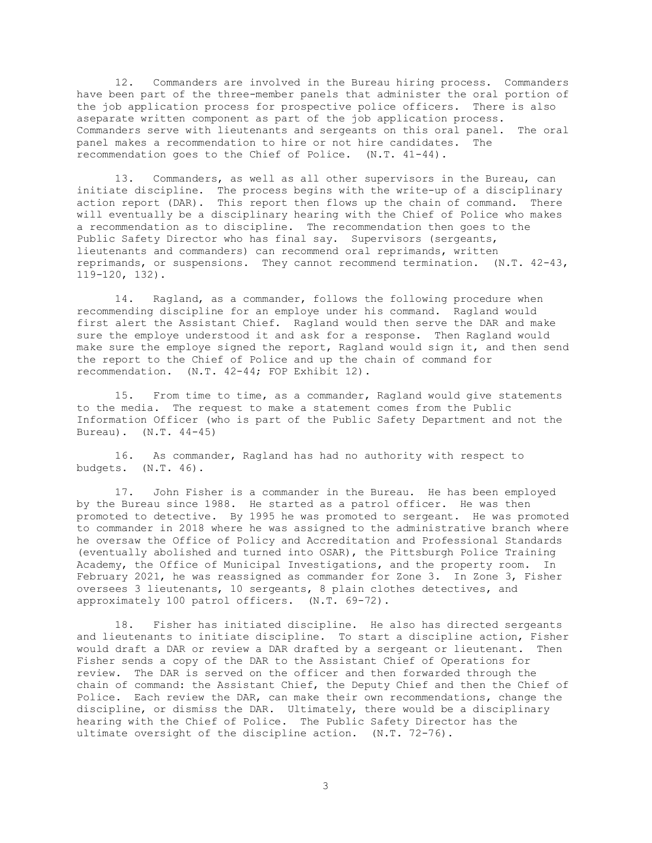12. Commanders are involved in the Bureau hiring process. Commanders have been part of the three-member panels that administer the oral portion of the job application process for prospective police officers. There is also aseparate written component as part of the job application process. Commanders serve with lieutenants and sergeants on this oral panel. The oral panel makes a recommendation to hire or not hire candidates. The recommendation goes to the Chief of Police. (N.T. 41-44).

13. Commanders, as well as all other supervisors in the Bureau, can initiate discipline. The process begins with the write-up of a disciplinary action report (DAR). This report then flows up the chain of command. There will eventually be a disciplinary hearing with the Chief of Police who makes a recommendation as to discipline. The recommendation then goes to the Public Safety Director who has final say. Supervisors (sergeants, lieutenants and commanders) can recommend oral reprimands, written reprimands, or suspensions. They cannot recommend termination. (N.T. 42-43, 119-120, 132).

14. Ragland, as a commander, follows the following procedure when recommending discipline for an employe under his command. Ragland would first alert the Assistant Chief. Ragland would then serve the DAR and make sure the employe understood it and ask for a response. Then Ragland would make sure the employe signed the report, Ragland would sign it, and then send the report to the Chief of Police and up the chain of command for recommendation. (N.T. 42-44; FOP Exhibit 12).

15. From time to time, as a commander, Ragland would give statements to the media. The request to make a statement comes from the Public Information Officer (who is part of the Public Safety Department and not the Bureau). (N.T. 44-45)

16. As commander, Ragland has had no authority with respect to budgets. (N.T. 46).

17. John Fisher is a commander in the Bureau. He has been employed by the Bureau since 1988. He started as a patrol officer. He was then promoted to detective. By 1995 he was promoted to sergeant. He was promoted to commander in 2018 where he was assigned to the administrative branch where he oversaw the Office of Policy and Accreditation and Professional Standards (eventually abolished and turned into OSAR), the Pittsburgh Police Training Academy, the Office of Municipal Investigations, and the property room. In February 2021, he was reassigned as commander for Zone 3. In Zone 3, Fisher oversees 3 lieutenants, 10 sergeants, 8 plain clothes detectives, and approximately 100 patrol officers. (N.T. 69-72).

18. Fisher has initiated discipline. He also has directed sergeants and lieutenants to initiate discipline. To start a discipline action, Fisher would draft a DAR or review a DAR drafted by a sergeant or lieutenant. Then Fisher sends a copy of the DAR to the Assistant Chief of Operations for review. The DAR is served on the officer and then forwarded through the chain of command: the Assistant Chief, the Deputy Chief and then the Chief of Police. Each review the DAR, can make their own recommendations, change the discipline, or dismiss the DAR. Ultimately, there would be a disciplinary hearing with the Chief of Police. The Public Safety Director has the ultimate oversight of the discipline action. (N.T. 72-76).

3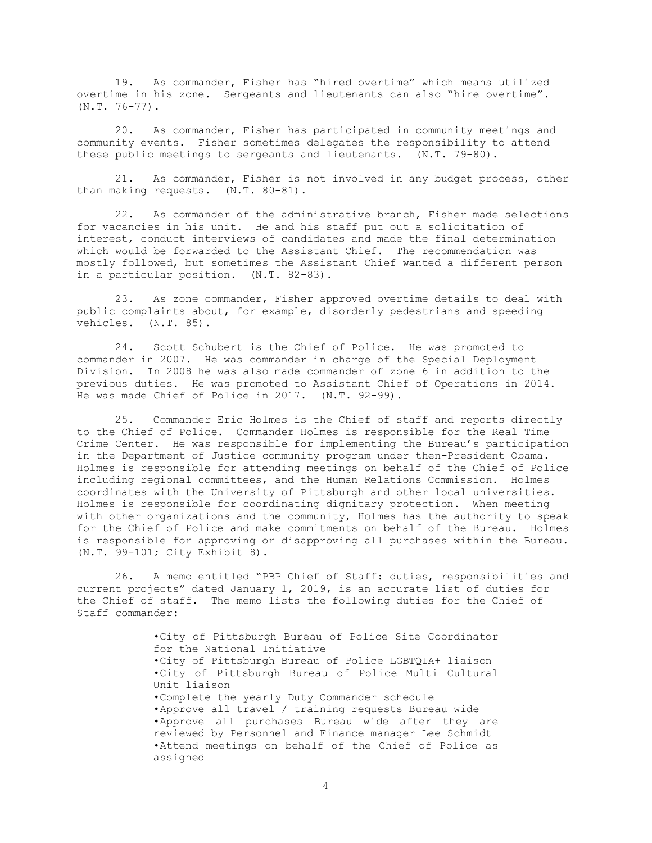19. As commander, Fisher has "hired overtime" which means utilized overtime in his zone. Sergeants and lieutenants can also "hire overtime".  $(N.T. 76-77)$ .

20. As commander, Fisher has participated in community meetings and community events. Fisher sometimes delegates the responsibility to attend these public meetings to sergeants and lieutenants. (N.T. 79-80).

21. As commander, Fisher is not involved in any budget process, other than making requests. (N.T. 80-81).

22. As commander of the administrative branch, Fisher made selections for vacancies in his unit. He and his staff put out a solicitation of interest, conduct interviews of candidates and made the final determination which would be forwarded to the Assistant Chief. The recommendation was mostly followed, but sometimes the Assistant Chief wanted a different person in a particular position. (N.T. 82-83).

23. As zone commander, Fisher approved overtime details to deal with public complaints about, for example, disorderly pedestrians and speeding vehicles. (N.T. 85).

24. Scott Schubert is the Chief of Police. He was promoted to commander in 2007. He was commander in charge of the Special Deployment Division. In 2008 he was also made commander of zone 6 in addition to the previous duties. He was promoted to Assistant Chief of Operations in 2014. He was made Chief of Police in 2017. (N.T. 92-99).

25. Commander Eric Holmes is the Chief of staff and reports directly to the Chief of Police. Commander Holmes is responsible for the Real Time Crime Center. He was responsible for implementing the Bureau's participation in the Department of Justice community program under then-President Obama. Holmes is responsible for attending meetings on behalf of the Chief of Police including regional committees, and the Human Relations Commission. Holmes coordinates with the University of Pittsburgh and other local universities. Holmes is responsible for coordinating dignitary protection. When meeting with other organizations and the community, Holmes has the authority to speak for the Chief of Police and make commitments on behalf of the Bureau. Holmes is responsible for approving or disapproving all purchases within the Bureau. (N.T. 99-101; City Exhibit 8).

26. A memo entitled "PBP Chief of Staff: duties, responsibilities and current projects" dated January 1, 2019, is an accurate list of duties for the Chief of staff. The memo lists the following duties for the Chief of Staff commander:

> •City of Pittsburgh Bureau of Police Site Coordinator for the National Initiative •City of Pittsburgh Bureau of Police LGBTQIA+ liaison •City of Pittsburgh Bureau of Police Multi Cultural Unit liaison •Complete the yearly Duty Commander schedule •Approve all travel / training requests Bureau wide •Approve all purchases Bureau wide after they are reviewed by Personnel and Finance manager Lee Schmidt •Attend meetings on behalf of the Chief of Police as assigned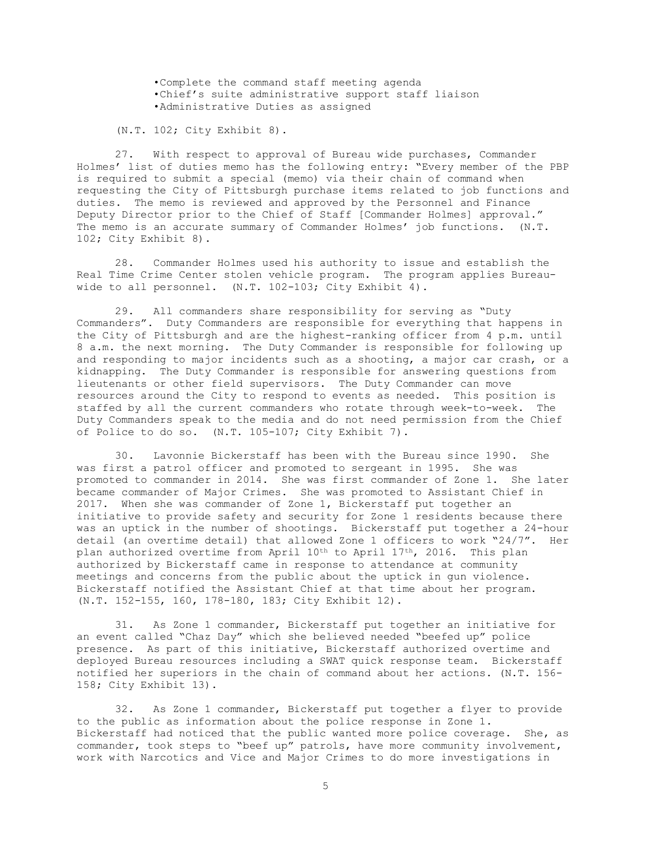•Complete the command staff meeting agenda •Chief's suite administrative support staff liaison •Administrative Duties as assigned

(N.T. 102; City Exhibit 8).

27. With respect to approval of Bureau wide purchases, Commander Holmes' list of duties memo has the following entry: "Every member of the PBP is required to submit a special (memo) via their chain of command when requesting the City of Pittsburgh purchase items related to job functions and duties. The memo is reviewed and approved by the Personnel and Finance Deputy Director prior to the Chief of Staff [Commander Holmes] approval." The memo is an accurate summary of Commander Holmes' job functions. (N.T. 102; City Exhibit 8).

28. Commander Holmes used his authority to issue and establish the Real Time Crime Center stolen vehicle program. The program applies Bureauwide to all personnel. (N.T. 102-103; City Exhibit 4).

29. All commanders share responsibility for serving as "Duty Commanders". Duty Commanders are responsible for everything that happens in the City of Pittsburgh and are the highest-ranking officer from 4 p.m. until 8 a.m. the next morning. The Duty Commander is responsible for following up and responding to major incidents such as a shooting, a major car crash, or a kidnapping. The Duty Commander is responsible for answering questions from lieutenants or other field supervisors. The Duty Commander can move resources around the City to respond to events as needed. This position is staffed by all the current commanders who rotate through week-to-week. The Duty Commanders speak to the media and do not need permission from the Chief of Police to do so. (N.T. 105-107; City Exhibit 7).

30. Lavonnie Bickerstaff has been with the Bureau since 1990. She was first a patrol officer and promoted to sergeant in 1995. She was promoted to commander in 2014. She was first commander of Zone 1. She later became commander of Major Crimes. She was promoted to Assistant Chief in 2017. When she was commander of Zone 1, Bickerstaff put together an initiative to provide safety and security for Zone 1 residents because there was an uptick in the number of shootings. Bickerstaff put together a 24-hour detail (an overtime detail) that allowed Zone 1 officers to work "24/7". Her plan authorized overtime from April 10th to April 17th, 2016. This plan authorized by Bickerstaff came in response to attendance at community meetings and concerns from the public about the uptick in gun violence. Bickerstaff notified the Assistant Chief at that time about her program. (N.T. 152-155, 160, 178-180, 183; City Exhibit 12).

31. As Zone 1 commander, Bickerstaff put together an initiative for an event called "Chaz Day" which she believed needed "beefed up" police presence. As part of this initiative, Bickerstaff authorized overtime and deployed Bureau resources including a SWAT quick response team. Bickerstaff notified her superiors in the chain of command about her actions. (N.T. 156- 158; City Exhibit 13).

32. As Zone 1 commander, Bickerstaff put together a flyer to provide to the public as information about the police response in Zone 1. Bickerstaff had noticed that the public wanted more police coverage. She, as commander, took steps to "beef up" patrols, have more community involvement, work with Narcotics and Vice and Major Crimes to do more investigations in

5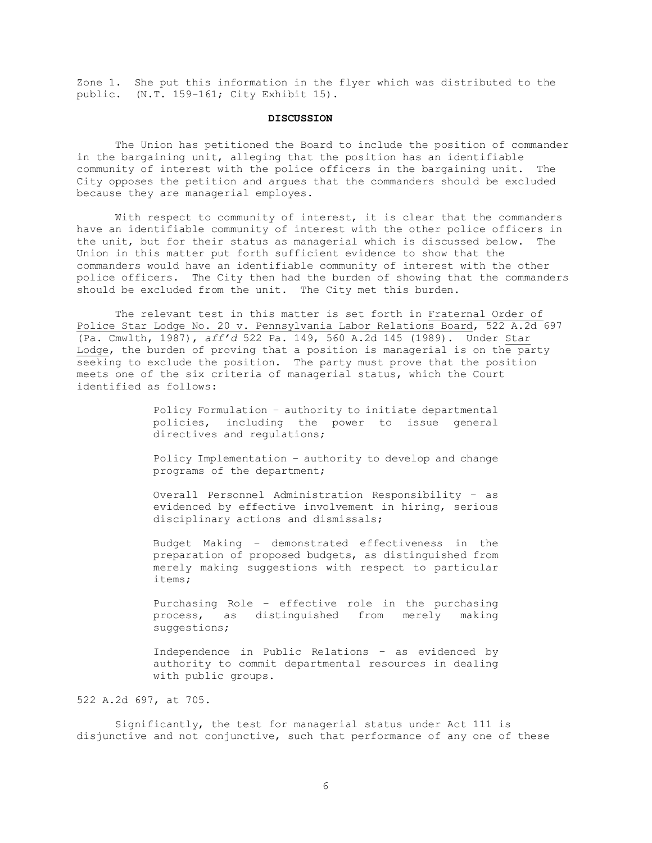Zone 1. She put this information in the flyer which was distributed to the public. (N.T. 159-161; City Exhibit 15).

### **DISCUSSION**

The Union has petitioned the Board to include the position of commander in the bargaining unit, alleging that the position has an identifiable community of interest with the police officers in the bargaining unit. The City opposes the petition and argues that the commanders should be excluded because they are managerial employes.

With respect to community of interest, it is clear that the commanders have an identifiable community of interest with the other police officers in the unit, but for their status as managerial which is discussed below. The Union in this matter put forth sufficient evidence to show that the commanders would have an identifiable community of interest with the other police officers. The City then had the burden of showing that the commanders should be excluded from the unit. The City met this burden.

The relevant test in this matter is set forth in Fraternal Order of Police Star Lodge No. 20 v. Pennsylvania Labor Relations Board, 522 A.2d 697 (Pa. Cmwlth, 1987), *aff'd* 522 Pa. 149, 560 A.2d 145 (1989). Under Star Lodge, the burden of proving that a position is managerial is on the party seeking to exclude the position. The party must prove that the position meets one of the six criteria of managerial status, which the Court identified as follows:

> Policy Formulation – authority to initiate departmental policies, including the power to issue general directives and regulations;

> Policy Implementation – authority to develop and change programs of the department;

> Overall Personnel Administration Responsibility – as evidenced by effective involvement in hiring, serious disciplinary actions and dismissals;

> Budget Making – demonstrated effectiveness in the preparation of proposed budgets, as distinguished from merely making suggestions with respect to particular items;

> Purchasing Role – effective role in the purchasing process, as distinguished from merely making suggestions;

> Independence in Public Relations – as evidenced by authority to commit departmental resources in dealing with public groups.

522 A.2d 697, at 705.

Significantly, the test for managerial status under Act 111 is disjunctive and not conjunctive, such that performance of any one of these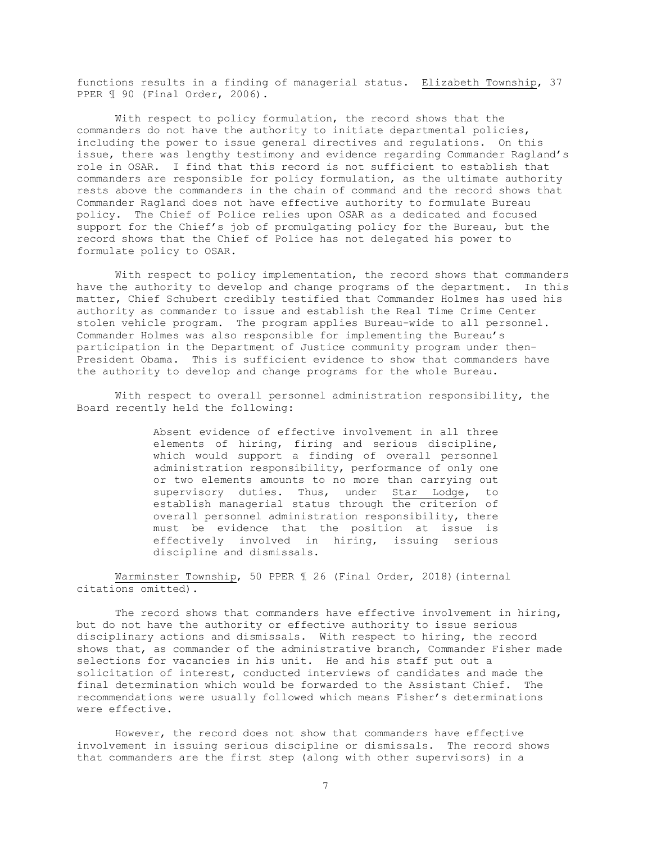functions results in a finding of managerial status. Elizabeth Township, 37 PPER  $\text{\ensuremath{\mathbb{I}}}$  90 (Final Order, 2006).

With respect to policy formulation, the record shows that the commanders do not have the authority to initiate departmental policies, including the power to issue general directives and regulations. On this issue, there was lengthy testimony and evidence regarding Commander Ragland's role in OSAR. I find that this record is not sufficient to establish that commanders are responsible for policy formulation, as the ultimate authority rests above the commanders in the chain of command and the record shows that Commander Ragland does not have effective authority to formulate Bureau policy. The Chief of Police relies upon OSAR as a dedicated and focused support for the Chief's job of promulgating policy for the Bureau, but the record shows that the Chief of Police has not delegated his power to formulate policy to OSAR.

With respect to policy implementation, the record shows that commanders have the authority to develop and change programs of the department. In this matter, Chief Schubert credibly testified that Commander Holmes has used his authority as commander to issue and establish the Real Time Crime Center stolen vehicle program. The program applies Bureau-wide to all personnel. Commander Holmes was also responsible for implementing the Bureau's participation in the Department of Justice community program under then-President Obama. This is sufficient evidence to show that commanders have the authority to develop and change programs for the whole Bureau.

With respect to overall personnel administration responsibility, the Board recently held the following:

> Absent evidence of effective involvement in all three elements of hiring, firing and serious discipline, which would support a finding of overall personnel administration responsibility, performance of only one or two elements amounts to no more than carrying out supervisory duties. Thus, under Star Lodge, to establish managerial status through  $\overline{the}$  criterion of overall personnel administration responsibility, there must be evidence that the position at issue is effectively involved in hiring, issuing serious discipline and dismissals.

Warminster Township, 50 PPER ¶ 26 (Final Order, 2018)(internal citations omitted).

The record shows that commanders have effective involvement in hiring, but do not have the authority or effective authority to issue serious disciplinary actions and dismissals. With respect to hiring, the record shows that, as commander of the administrative branch, Commander Fisher made selections for vacancies in his unit. He and his staff put out a solicitation of interest, conducted interviews of candidates and made the final determination which would be forwarded to the Assistant Chief. The recommendations were usually followed which means Fisher's determinations were effective.

However, the record does not show that commanders have effective involvement in issuing serious discipline or dismissals. The record shows that commanders are the first step (along with other supervisors) in a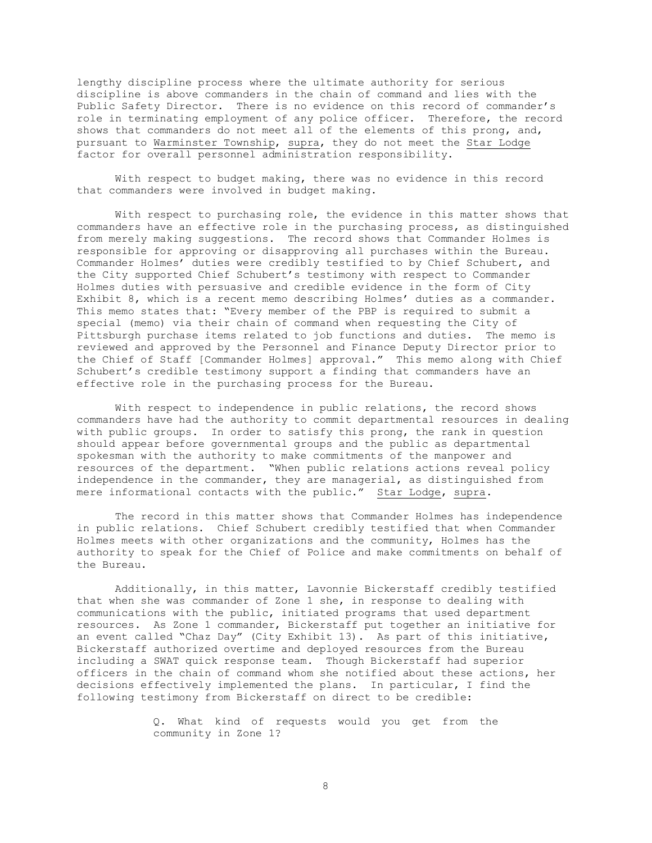lengthy discipline process where the ultimate authority for serious discipline is above commanders in the chain of command and lies with the Public Safety Director. There is no evidence on this record of commander's role in terminating employment of any police officer. Therefore, the record shows that commanders do not meet all of the elements of this prong, and, pursuant to Warminster Township, supra, they do not meet the Star Lodge factor for overall personnel administration responsibility.

With respect to budget making, there was no evidence in this record that commanders were involved in budget making.

With respect to purchasing role, the evidence in this matter shows that commanders have an effective role in the purchasing process, as distinguished from merely making suggestions. The record shows that Commander Holmes is responsible for approving or disapproving all purchases within the Bureau. Commander Holmes' duties were credibly testified to by Chief Schubert, and the City supported Chief Schubert's testimony with respect to Commander Holmes duties with persuasive and credible evidence in the form of City Exhibit 8, which is a recent memo describing Holmes' duties as a commander. This memo states that: "Every member of the PBP is required to submit a special (memo) via their chain of command when requesting the City of Pittsburgh purchase items related to job functions and duties. The memo is reviewed and approved by the Personnel and Finance Deputy Director prior to the Chief of Staff [Commander Holmes] approval." This memo along with Chief Schubert's credible testimony support a finding that commanders have an effective role in the purchasing process for the Bureau.

With respect to independence in public relations, the record shows commanders have had the authority to commit departmental resources in dealing with public groups. In order to satisfy this prong, the rank in question should appear before governmental groups and the public as departmental spokesman with the authority to make commitments of the manpower and resources of the department. "When public relations actions reveal policy independence in the commander, they are managerial, as distinguished from mere informational contacts with the public." Star Lodge, supra.

The record in this matter shows that Commander Holmes has independence in public relations. Chief Schubert credibly testified that when Commander Holmes meets with other organizations and the community, Holmes has the authority to speak for the Chief of Police and make commitments on behalf of the Bureau.

Additionally, in this matter, Lavonnie Bickerstaff credibly testified that when she was commander of Zone 1 she, in response to dealing with communications with the public, initiated programs that used department resources. As Zone 1 commander, Bickerstaff put together an initiative for an event called "Chaz Day" (City Exhibit 13). As part of this initiative, Bickerstaff authorized overtime and deployed resources from the Bureau including a SWAT quick response team. Though Bickerstaff had superior officers in the chain of command whom she notified about these actions, her decisions effectively implemented the plans. In particular, I find the following testimony from Bickerstaff on direct to be credible:

> Q. What kind of requests would you get from the community in Zone 1?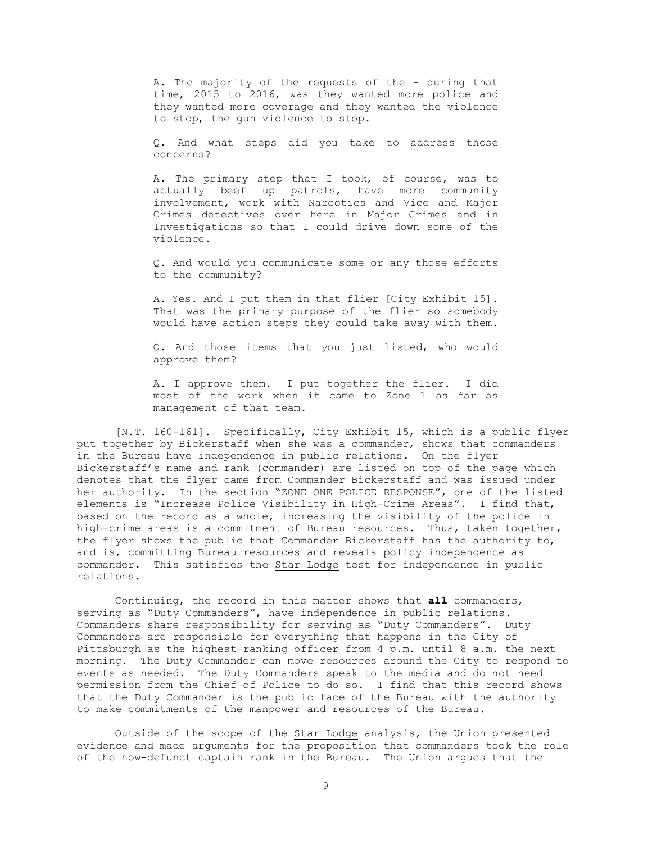A. The majority of the requests of the – during that time, 2015 to 2016, was they wanted more police and they wanted more coverage and they wanted the violence to stop, the gun violence to stop.

Q. And what steps did you take to address those concerns?

A. The primary step that I took, of course, was to actually beef up patrols, have more community involvement, work with Narcotics and Vice and Major Crimes detectives over here in Major Crimes and in Investigations so that I could drive down some of the violence.

Q. And would you communicate some or any those efforts to the community?

A. Yes. And I put them in that flier [City Exhibit 15]. That was the primary purpose of the flier so somebody would have action steps they could take away with them.

Q. And those items that you just listed, who would approve them?

A. I approve them. I put together the flier. I did most of the work when it came to Zone 1 as far as management of that team.

[N.T. 160-161]. Specifically, City Exhibit 15, which is a public flyer put together by Bickerstaff when she was a commander, shows that commanders in the Bureau have independence in public relations. On the flyer Bickerstaff's name and rank (commander) are listed on top of the page which denotes that the flyer came from Commander Bickerstaff and was issued under her authority. In the section "ZONE ONE POLICE RESPONSE", one of the listed elements is "Increase Police Visibility in High-Crime Areas". I find that, based on the record as a whole, increasing the visibility of the police in high-crime areas is a commitment of Bureau resources. Thus, taken together, the flyer shows the public that Commander Bickerstaff has the authority to, and is, committing Bureau resources and reveals policy independence as commander. This satisfies the Star Lodge test for independence in public relations.

Continuing, the record in this matter shows that **all** commanders, serving as "Duty Commanders", have independence in public relations. Commanders share responsibility for serving as "Duty Commanders". Duty Commanders are responsible for everything that happens in the City of Pittsburgh as the highest-ranking officer from 4 p.m. until 8 a.m. the next morning. The Duty Commander can move resources around the City to respond to events as needed. The Duty Commanders speak to the media and do not need permission from the Chief of Police to do so. I find that this record shows that the Duty Commander is the public face of the Bureau with the authority to make commitments of the manpower and resources of the Bureau.

Outside of the scope of the Star Lodge analysis, the Union presented evidence and made arguments for the proposition that commanders took the role of the now-defunct captain rank in the Bureau. The Union argues that the